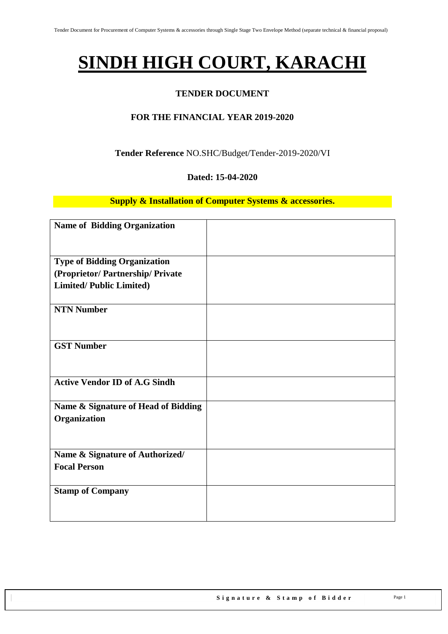# **SINDH HIGH COURT, KARACHI**

## **TENDER DOCUMENT**

## **FOR THE FINANCIAL YEAR 2019-2020**

#### **Tender Reference** NO.SHC/Budget/Tender-2019-2020/VI

#### **Dated: 15-04-2020**

#### **Supply & Installation of Computer Systems & accessories.**

| <b>Name of Bidding Organization</b>  |  |
|--------------------------------------|--|
|                                      |  |
| <b>Type of Bidding Organization</b>  |  |
| (Proprietor/Partnership/Private      |  |
| <b>Limited/Public Limited)</b>       |  |
|                                      |  |
| <b>NTN Number</b>                    |  |
|                                      |  |
|                                      |  |
| <b>GST Number</b>                    |  |
|                                      |  |
|                                      |  |
| <b>Active Vendor ID of A.G Sindh</b> |  |
|                                      |  |
| Name & Signature of Head of Bidding  |  |
| Organization                         |  |
|                                      |  |
|                                      |  |
| Name & Signature of Authorized/      |  |
| <b>Focal Person</b>                  |  |
|                                      |  |
| <b>Stamp of Company</b>              |  |
|                                      |  |
|                                      |  |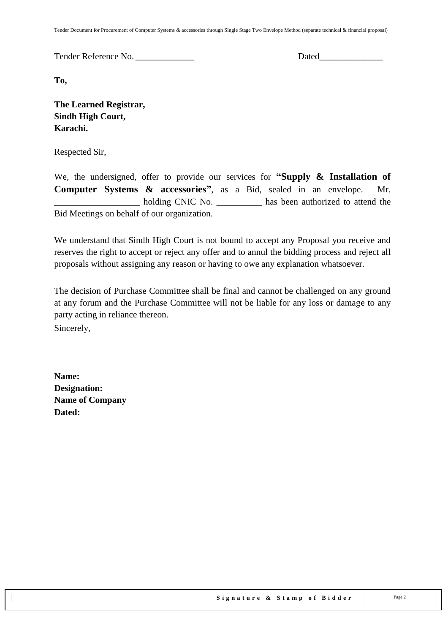Tender Document for Procurement of Computer Systems & accessories through Single Stage Two Envelope Method (separate technical & financial proposal)

Tender Reference No. \_\_\_\_\_\_\_\_\_\_\_\_\_ Dated\_\_\_\_\_\_\_\_\_\_\_\_\_\_

**To,** 

**The Learned Registrar, Sindh High Court, Karachi.**

Respected Sir,

We, the undersigned, offer to provide our services for **"Supply & Installation of Computer Systems & accessories"**, as a Bid, sealed in an envelope. Mr. holding CNIC No.  $\qquad \qquad$  has been authorized to attend the Bid Meetings on behalf of our organization.

We understand that Sindh High Court is not bound to accept any Proposal you receive and reserves the right to accept or reject any offer and to annul the bidding process and reject all proposals without assigning any reason or having to owe any explanation whatsoever.

The decision of Purchase Committee shall be final and cannot be challenged on any ground at any forum and the Purchase Committee will not be liable for any loss or damage to any party acting in reliance thereon.

Sincerely,

**Name: Designation: Name of Company Dated:**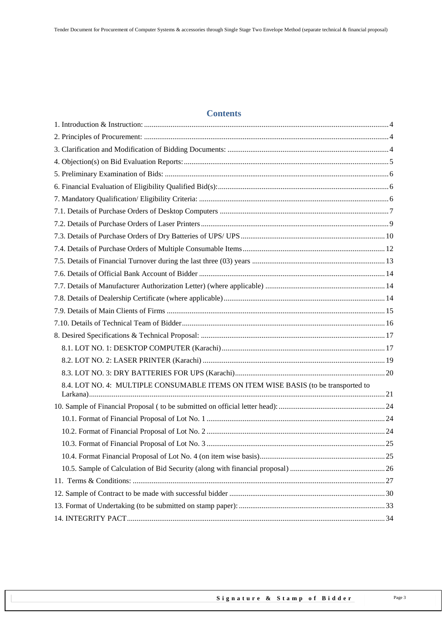## **Contents**

| 8.4. LOT NO. 4: MULTIPLE CONSUMABLE ITEMS ON ITEM WISE BASIS (to be transported to |  |
|------------------------------------------------------------------------------------|--|
|                                                                                    |  |
|                                                                                    |  |
|                                                                                    |  |
|                                                                                    |  |
|                                                                                    |  |
|                                                                                    |  |
|                                                                                    |  |
|                                                                                    |  |
|                                                                                    |  |
|                                                                                    |  |
|                                                                                    |  |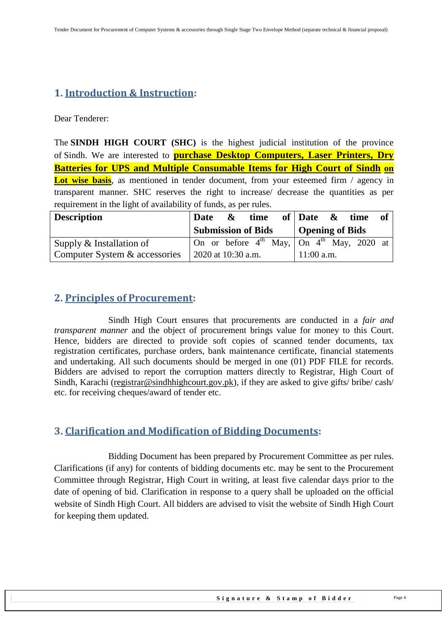# <span id="page-3-0"></span>**1. Introduction & Instruction:**

Dear Tenderer:

The **SINDH HIGH COURT (SHC)** is the highest judicial institution of the province of [Sindh.](https://en.wikipedia.org/wiki/Sindh) We are interested to **purchase Desktop Computers, Laser Printers, Dry Batteries for UPS and Multiple Consumable Items for High Court of Sindh on Lot wise basis**, as mentioned in tender document, from your esteemed firm / agency in transparent manner. SHC reserves the right to increase/ decrease the quantities as per requirement in the light of availability of funds, as per rules.

| <b>Description</b>            | Date                                                | $\boldsymbol{\alpha}$ | time of Date $\&$ time |              |                 | of a |
|-------------------------------|-----------------------------------------------------|-----------------------|------------------------|--------------|-----------------|------|
|                               | <b>Submission of Bids</b>                           |                       |                        |              | Opening of Bids |      |
| Supply & Installation of      | On or before $4^{th}$ May, On $4^{th}$ May, 2020 at |                       |                        |              |                 |      |
| Computer System & accessories | 2020 at 10:30 a.m.                                  |                       |                        | $11:00$ a.m. |                 |      |

## <span id="page-3-1"></span>**2. Principles of Procurement:**

Sindh High Court ensures that procurements are conducted in a *fair and transparent manner* and the object of procurement brings value for money to this Court. Hence, bidders are directed to provide soft copies of scanned tender documents, tax registration certificates, purchase orders, bank maintenance certificate, financial statements and undertaking. All such documents should be merged in one (01) PDF FILE for records. Bidders are advised to report the corruption matters directly to Registrar, High Court of Sindh, Karachi [\(registrar@sindhhighcourt.gov.pk\)](mailto:registrar@sindhhighcourt.gov.pk), if they are asked to give gifts/ bribe/ cash/ etc. for receiving cheques/award of tender etc.

## <span id="page-3-2"></span>**3. Clarification and Modification of Bidding Documents:**

Bidding Document has been prepared by Procurement Committee as per rules. Clarifications (if any) for contents of bidding documents etc. may be sent to the Procurement Committee through Registrar, High Court in writing, at least five calendar days prior to the date of opening of bid. Clarification in response to a query shall be uploaded on the official website of Sindh High Court. All bidders are advised to visit the website of Sindh High Court for keeping them updated.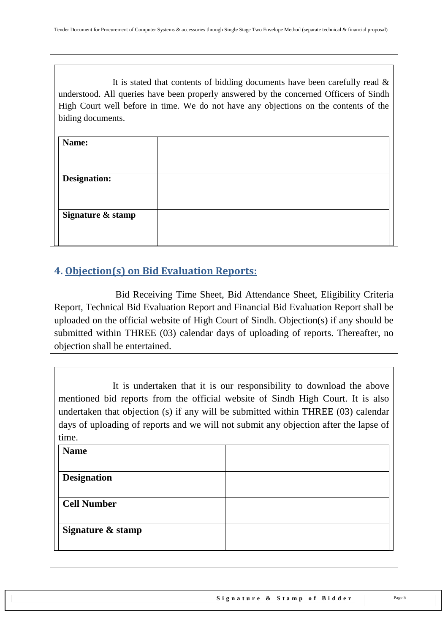It is stated that contents of bidding documents have been carefully read  $\&$ understood. All queries have been properly answered by the concerned Officers of Sindh High Court well before in time. We do not have any objections on the contents of the biding documents.

| Name:               |  |
|---------------------|--|
|                     |  |
| <b>Designation:</b> |  |
|                     |  |
| Signature & stamp   |  |
|                     |  |
|                     |  |

# <span id="page-4-0"></span>**4. Objection(s) on Bid Evaluation Reports:**

 Bid Receiving Time Sheet, Bid Attendance Sheet, Eligibility Criteria Report, Technical Bid Evaluation Report and Financial Bid Evaluation Report shall be uploaded on the official website of High Court of Sindh. Objection(s) if any should be submitted within THREE (03) calendar days of uploading of reports. Thereafter, no objection shall be entertained.

It is undertaken that it is our responsibility to download the above mentioned bid reports from the official website of Sindh High Court. It is also undertaken that objection (s) if any will be submitted within THREE (03) calendar days of uploading of reports and we will not submit any objection after the lapse of time.

| <b>Name</b>        |  |
|--------------------|--|
| <b>Designation</b> |  |
| <b>Cell Number</b> |  |
|                    |  |
| Signature & stamp  |  |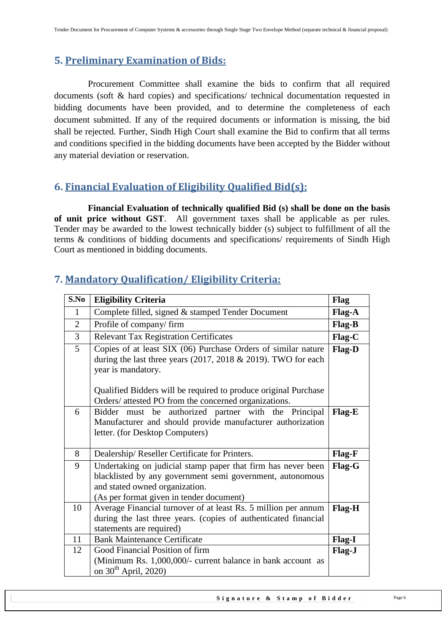## <span id="page-5-0"></span>**5. Preliminary Examination of Bids:**

 Procurement Committee shall examine the bids to confirm that all required documents (soft & hard copies) and specifications/ technical documentation requested in bidding documents have been provided, and to determine the completeness of each document submitted. If any of the required documents or information is missing, the bid shall be rejected. Further, Sindh High Court shall examine the Bid to confirm that all terms and conditions specified in the bidding documents have been accepted by the Bidder without any material deviation or reservation.

## <span id="page-5-1"></span>**6. Financial Evaluation of Eligibility Qualified Bid(s):**

 **Financial Evaluation of technically qualified Bid (s) shall be done on the basis of unit price without GST**. All government taxes shall be applicable as per rules. Tender may be awarded to the lowest technically bidder (s) subject to fulfillment of all the terms & conditions of bidding documents and specifications/ requirements of Sindh High Court as mentioned in bidding documents.

| S.No           | <b>Eligibility Criteria</b>                                                                                                       | <b>Flag</b> |
|----------------|-----------------------------------------------------------------------------------------------------------------------------------|-------------|
| $\mathbf{1}$   | Complete filled, signed & stamped Tender Document                                                                                 | Flag-A      |
| $\overline{2}$ | Profile of company/firm                                                                                                           | Flag-B      |
| 3              | <b>Relevant Tax Registration Certificates</b>                                                                                     | Flag-C      |
| $\overline{5}$ | Copies of at least SIX (06) Purchase Orders of similar nature                                                                     | Flag-D      |
|                | during the last three years (2017, 2018 $&$ 2019). TWO for each                                                                   |             |
|                | year is mandatory.                                                                                                                |             |
|                | Qualified Bidders will be required to produce original Purchase                                                                   |             |
|                | Orders/ attested PO from the concerned organizations.                                                                             |             |
| 6              | Bidder must be authorized partner with the Principal                                                                              | Flag-E      |
|                | Manufacturer and should provide manufacturer authorization                                                                        |             |
|                | letter. (for Desktop Computers)                                                                                                   |             |
|                |                                                                                                                                   |             |
| 8              | Dealership/Reseller Certificate for Printers.                                                                                     | Flag-F      |
| 9              | Undertaking on judicial stamp paper that firm has never been                                                                      | Flag-G      |
|                | blacklisted by any government semi government, autonomous                                                                         |             |
|                | and stated owned organization.                                                                                                    |             |
|                | (As per format given in tender document)                                                                                          |             |
| 10             | Average Financial turnover of at least Rs. 5 million per annum<br>during the last three years. (copies of authenticated financial | Flag-H      |
|                | statements are required)                                                                                                          |             |
| 11             | <b>Bank Maintenance Certificate</b>                                                                                               | Flag-I      |
| 12             | Good Financial Position of firm                                                                                                   | Flag-J      |
|                | (Minimum Rs. 1,000,000/- current balance in bank account as                                                                       |             |
|                | on $30th$ April, 2020)                                                                                                            |             |

## <span id="page-5-2"></span>**7. Mandatory Qualification/ Eligibility Criteria:**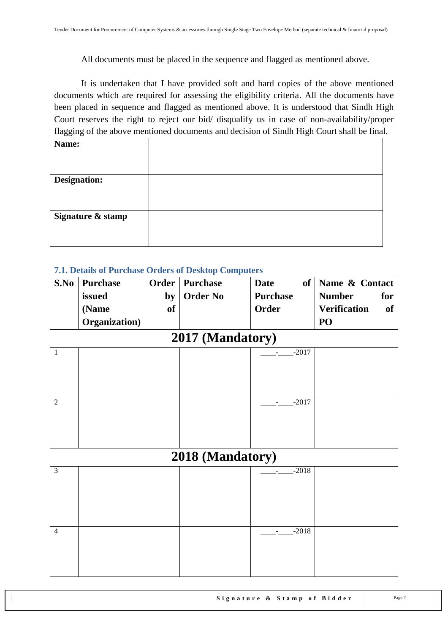All documents must be placed in the sequence and flagged as mentioned above.

It is undertaken that I have provided soft and hard copies of the above mentioned documents which are required for assessing the eligibility criteria. All the documents have been placed in sequence and flagged as mentioned above. It is understood that Sindh High Court reserves the right to reject our bid/ disqualify us in case of non-availability/proper flagging of the above mentioned documents and decision of Sindh High Court shall be final.

| Name:               |  |
|---------------------|--|
|                     |  |
|                     |  |
| <b>Designation:</b> |  |
|                     |  |
|                     |  |
| Signature & stamp   |  |
|                     |  |
|                     |  |
|                     |  |

#### <span id="page-6-0"></span>**7.1. Details of Purchase Orders of Desktop Computers**

| S.No           | <b>Purchase</b> | <b>Order</b> | <b>Purchase</b>  | of <sub>1</sub><br><b>Date</b> | Name & Contact            |
|----------------|-----------------|--------------|------------------|--------------------------------|---------------------------|
|                | issued          | by           | <b>Order No</b>  | <b>Purchase</b>                | <b>Number</b><br>for      |
|                | (Name           | of           |                  | Order                          | <b>Verification</b><br>of |
|                | Organization)   |              |                  |                                | PO                        |
|                |                 |              | 2017 (Mandatory) |                                |                           |
| $\mathbf{1}$   |                 |              |                  | $-2017$                        |                           |
| $\overline{2}$ |                 |              |                  | $-2017$                        |                           |
|                |                 |              | 2018 (Mandatory) |                                |                           |
| $\overline{3}$ |                 |              |                  | $-2018$                        |                           |
| $\overline{4}$ |                 |              |                  | $-2018$<br>$\blacksquare$      |                           |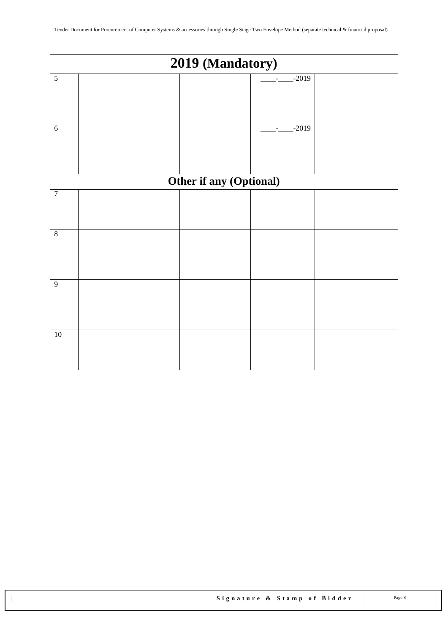<span id="page-7-0"></span>

|                 | 2019 (Mandatory) |                         |                                     |  |  |  |
|-----------------|------------------|-------------------------|-------------------------------------|--|--|--|
| $\sqrt{5}$      |                  |                         | $-2019$                             |  |  |  |
| $\sqrt{6}$      |                  |                         | $-2019$<br>$\overline{\phantom{a}}$ |  |  |  |
|                 |                  | Other if any (Optional) |                                     |  |  |  |
| $\overline{7}$  |                  |                         |                                     |  |  |  |
| $\overline{8}$  |                  |                         |                                     |  |  |  |
| $\overline{9}$  |                  |                         |                                     |  |  |  |
| $\overline{10}$ |                  |                         |                                     |  |  |  |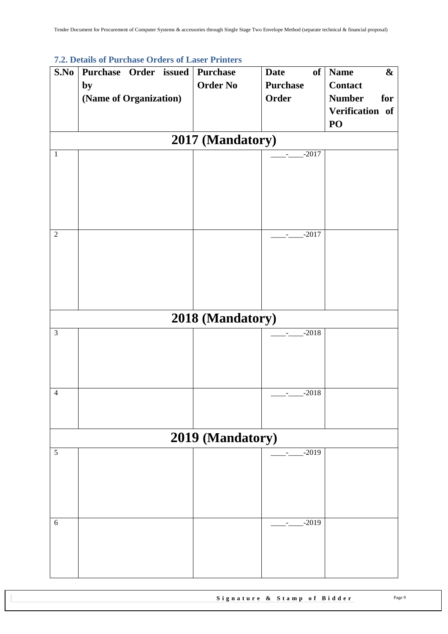| S.No           | 7.2. Details of 1 divided Orgers of Easer Truncis<br>Purchase Order issued | <b>Purchase</b>  | <b>Date</b>                         | of   Name<br>$\boldsymbol{\&}$ |
|----------------|----------------------------------------------------------------------------|------------------|-------------------------------------|--------------------------------|
|                | by                                                                         | <b>Order No</b>  | <b>Purchase</b>                     | <b>Contact</b>                 |
|                | (Name of Organization)                                                     |                  | Order                               | <b>Number</b><br>for           |
|                |                                                                            |                  |                                     | Verification of                |
|                |                                                                            |                  |                                     | PO                             |
|                |                                                                            | 2017 (Mandatory) |                                     |                                |
| $\mathbf{1}$   |                                                                            |                  | $-2017$                             |                                |
|                |                                                                            |                  |                                     |                                |
|                |                                                                            |                  |                                     |                                |
|                |                                                                            |                  |                                     |                                |
|                |                                                                            |                  |                                     |                                |
|                |                                                                            |                  |                                     |                                |
| $\overline{2}$ |                                                                            |                  | $-2017$                             |                                |
|                |                                                                            |                  |                                     |                                |
|                |                                                                            |                  |                                     |                                |
|                |                                                                            |                  |                                     |                                |
|                |                                                                            |                  |                                     |                                |
|                |                                                                            |                  |                                     |                                |
|                |                                                                            | 2018 (Mandatory) |                                     |                                |
| $\mathfrak{Z}$ |                                                                            |                  | $-2018$<br>$\overline{\phantom{a}}$ |                                |
|                |                                                                            |                  |                                     |                                |
|                |                                                                            |                  |                                     |                                |
|                |                                                                            |                  |                                     |                                |
| $\overline{4}$ |                                                                            |                  | $-2018$                             |                                |
|                |                                                                            |                  |                                     |                                |
|                |                                                                            |                  |                                     |                                |
|                |                                                                            | 2019 (Mandatory) |                                     |                                |
| 5              |                                                                            |                  | $-2019$                             |                                |
|                |                                                                            |                  |                                     |                                |
|                |                                                                            |                  |                                     |                                |
|                |                                                                            |                  |                                     |                                |
|                |                                                                            |                  |                                     |                                |
| 6              |                                                                            |                  | $-2019$                             |                                |
|                |                                                                            |                  |                                     |                                |
|                |                                                                            |                  |                                     |                                |
|                |                                                                            |                  |                                     |                                |
|                |                                                                            |                  |                                     |                                |

## **7.2. Details of Purchase Orders of Laser Printers**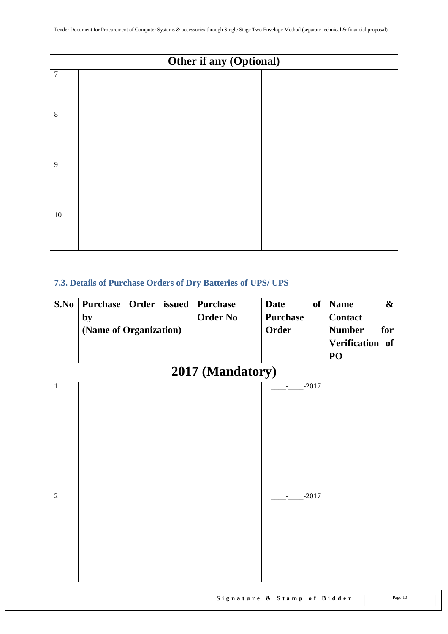|                  | Other if any (Optional) |  |  |  |  |  |
|------------------|-------------------------|--|--|--|--|--|
| $\boldsymbol{7}$ |                         |  |  |  |  |  |
| $\,8\,$          |                         |  |  |  |  |  |
| 9                |                         |  |  |  |  |  |
| $10\,$           |                         |  |  |  |  |  |

## <span id="page-9-0"></span>**7.3. Details of Purchase Orders of Dry Batteries of UPS/ UPS**

| S.No           | Purchase Order issued  | <b>Purchase</b>  | <b>Date</b><br>of         | <b>Name</b><br>$\boldsymbol{\&}$ |
|----------------|------------------------|------------------|---------------------------|----------------------------------|
|                | by                     | <b>Order No</b>  | <b>Purchase</b>           | <b>Contact</b>                   |
|                | (Name of Organization) |                  | <b>Order</b>              | <b>Number</b><br>for             |
|                |                        |                  |                           | Verification of                  |
|                |                        |                  |                           | PO                               |
|                |                        | 2017 (Mandatory) |                           |                                  |
| 1              |                        |                  | $-2017$<br>$\sim$         |                                  |
|                |                        |                  |                           |                                  |
|                |                        |                  |                           |                                  |
|                |                        |                  |                           |                                  |
|                |                        |                  |                           |                                  |
|                |                        |                  |                           |                                  |
|                |                        |                  |                           |                                  |
|                |                        |                  |                           |                                  |
| $\overline{2}$ |                        |                  | $-2017$<br>$\blacksquare$ |                                  |
|                |                        |                  |                           |                                  |
|                |                        |                  |                           |                                  |
|                |                        |                  |                           |                                  |
|                |                        |                  |                           |                                  |
|                |                        |                  |                           |                                  |
|                |                        |                  |                           |                                  |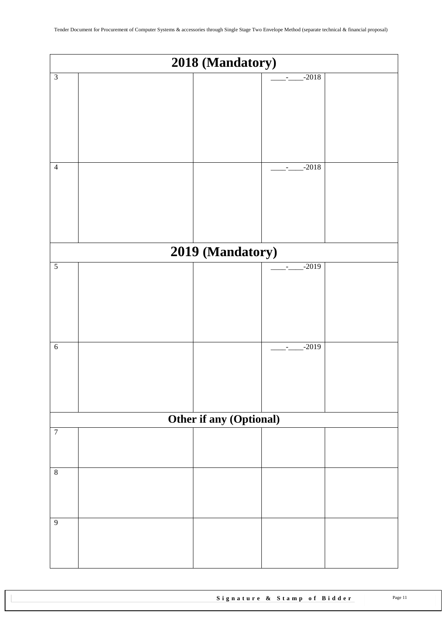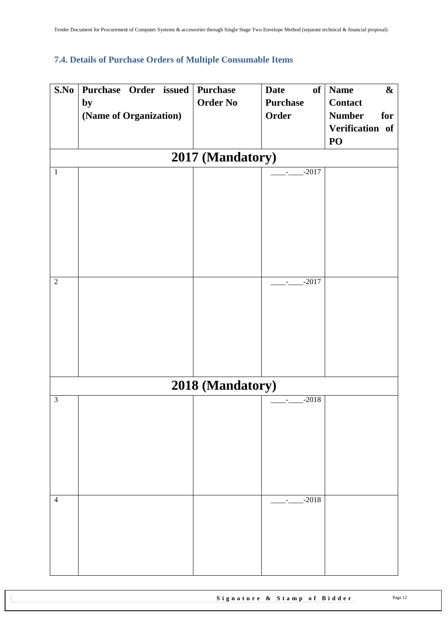# <span id="page-11-0"></span>**7.4. Details of Purchase Orders of Multiple Consumable Items**

| S.No           | Purchase Order issued  |  | Purchase         | <b>Date</b>                         | of Name<br>$\boldsymbol{\&}$ |
|----------------|------------------------|--|------------------|-------------------------------------|------------------------------|
|                | by                     |  | <b>Order No</b>  | <b>Purchase</b>                     | <b>Contact</b>               |
|                | (Name of Organization) |  |                  | Order                               | <b>Number</b><br>for         |
|                |                        |  |                  |                                     | Verification of              |
|                |                        |  |                  |                                     | PO                           |
|                |                        |  | 2017 (Mandatory) |                                     |                              |
| $\mathbf 1$    |                        |  |                  | $-2017$<br>$\overline{\phantom{a}}$ |                              |
|                |                        |  |                  |                                     |                              |
|                |                        |  |                  |                                     |                              |
|                |                        |  |                  |                                     |                              |
|                |                        |  |                  |                                     |                              |
|                |                        |  |                  |                                     |                              |
|                |                        |  |                  |                                     |                              |
|                |                        |  |                  |                                     |                              |
| $\sqrt{2}$     |                        |  |                  | $-2017$<br>$\overline{\phantom{a}}$ |                              |
|                |                        |  |                  |                                     |                              |
|                |                        |  |                  |                                     |                              |
|                |                        |  |                  |                                     |                              |
|                |                        |  |                  |                                     |                              |
|                |                        |  |                  |                                     |                              |
|                |                        |  |                  |                                     |                              |
|                |                        |  |                  |                                     |                              |
|                |                        |  | 2018 (Mandatory) |                                     |                              |
| $\mathfrak{Z}$ |                        |  |                  | $-2018$                             |                              |
|                |                        |  |                  |                                     |                              |
|                |                        |  |                  |                                     |                              |
|                |                        |  |                  |                                     |                              |
|                |                        |  |                  |                                     |                              |
|                |                        |  |                  |                                     |                              |
|                |                        |  |                  |                                     |                              |
| $\overline{4}$ |                        |  |                  | $-2018$<br>$\sim$                   |                              |
|                |                        |  |                  |                                     |                              |
|                |                        |  |                  |                                     |                              |
|                |                        |  |                  |                                     |                              |
|                |                        |  |                  |                                     |                              |
|                |                        |  |                  |                                     |                              |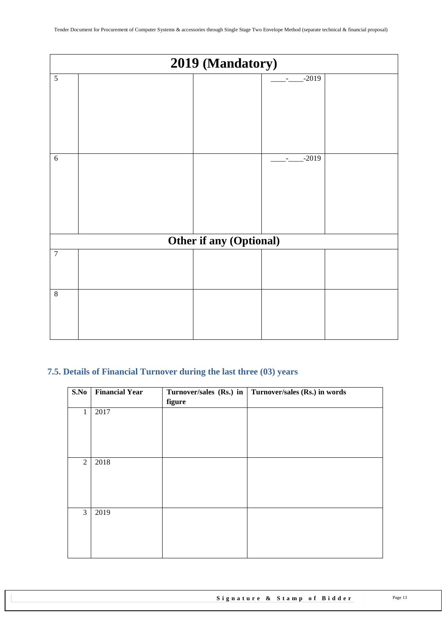|                | 2019 (Mandatory) |                         |                                     |  |
|----------------|------------------|-------------------------|-------------------------------------|--|
| $\overline{5}$ |                  |                         | $-2019$                             |  |
| $\sqrt{6}$     |                  |                         | $-2019$<br>$\overline{\phantom{a}}$ |  |
|                |                  | Other if any (Optional) |                                     |  |
| $\overline{7}$ |                  |                         |                                     |  |
| $\overline{8}$ |                  |                         |                                     |  |

## <span id="page-12-0"></span>**7.5. Details of Financial Turnover during the last three (03) years**

| S.No           | <b>Financial Year</b> | figure | Turnover/sales (Rs.) in   Turnover/sales (Rs.) in words |
|----------------|-----------------------|--------|---------------------------------------------------------|
| 1              | 2017                  |        |                                                         |
| $\overline{2}$ | 2018                  |        |                                                         |
| $\mathfrak{Z}$ | 2019                  |        |                                                         |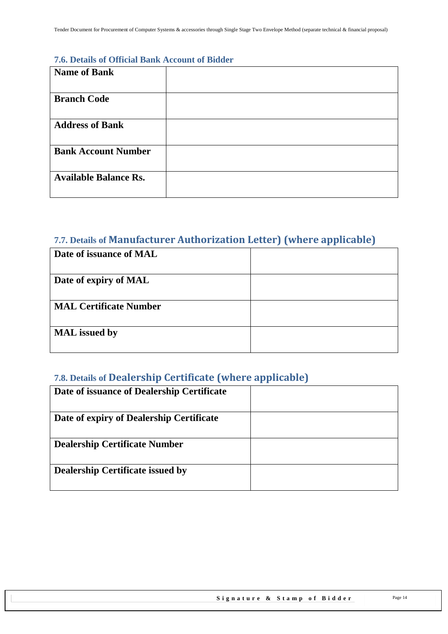#### <span id="page-13-0"></span>**7.6. Details of Official Bank Account of Bidder**

| <b>Name of Bank</b>          |  |
|------------------------------|--|
| <b>Branch Code</b>           |  |
| <b>Address of Bank</b>       |  |
| <b>Bank Account Number</b>   |  |
| <b>Available Balance Rs.</b> |  |

# <span id="page-13-1"></span>**7.7. Details of Manufacturer Authorization Letter) (where applicable)**

| Date of issuance of MAL       |  |
|-------------------------------|--|
|                               |  |
| Date of expiry of MAL         |  |
|                               |  |
| <b>MAL Certificate Number</b> |  |
|                               |  |
| <b>MAL</b> issued by          |  |
|                               |  |

# <span id="page-13-2"></span>**7.8. Details of Dealership Certificate (where applicable)**

<span id="page-13-3"></span>

| Date of issuance of Dealership Certificate |  |
|--------------------------------------------|--|
| Date of expiry of Dealership Certificate   |  |
| <b>Dealership Certificate Number</b>       |  |
| <b>Dealership Certificate issued by</b>    |  |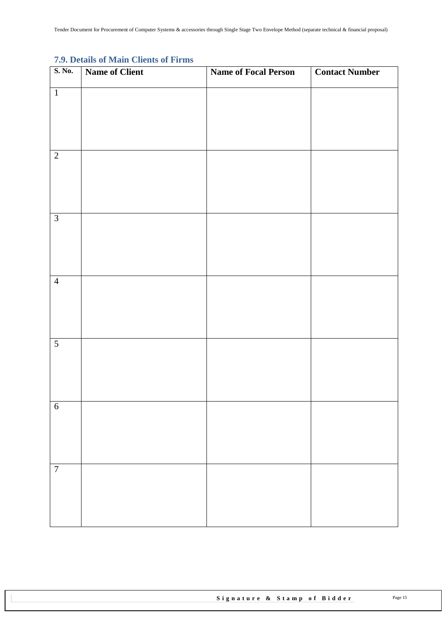#### **7.9. Details of Main Clients of Firms**

| S. No.           | Name of Client | <b>Name of Focal Person</b> | <b>Contact Number</b> |
|------------------|----------------|-----------------------------|-----------------------|
| $\overline{1}$   |                |                             |                       |
|                  |                |                             |                       |
|                  |                |                             |                       |
| $\overline{2}$   |                |                             |                       |
|                  |                |                             |                       |
|                  |                |                             |                       |
|                  |                |                             |                       |
| $\overline{3}$   |                |                             |                       |
|                  |                |                             |                       |
|                  |                |                             |                       |
| $\overline{4}$   |                |                             |                       |
|                  |                |                             |                       |
|                  |                |                             |                       |
| $\overline{5}$   |                |                             |                       |
|                  |                |                             |                       |
|                  |                |                             |                       |
|                  |                |                             |                       |
| $\sqrt{6}$       |                |                             |                       |
|                  |                |                             |                       |
|                  |                |                             |                       |
| $\boldsymbol{7}$ |                |                             |                       |
|                  |                |                             |                       |
|                  |                |                             |                       |
|                  |                |                             |                       |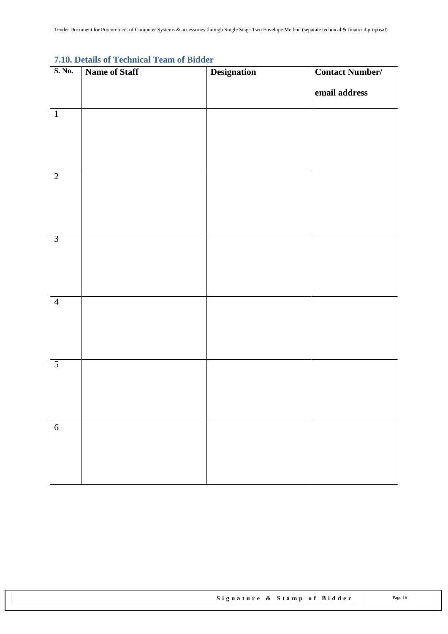| . .<br>S. No.  | $\frac{1}{2}$<br>Name of Staff | <b>Designation</b> | <b>Contact Number/</b> |
|----------------|--------------------------------|--------------------|------------------------|
|                |                                |                    | email address          |
| $\overline{1}$ |                                |                    |                        |
| $\overline{2}$ |                                |                    |                        |
| $\overline{3}$ |                                |                    |                        |
| $\overline{4}$ |                                |                    |                        |
| $\overline{5}$ |                                |                    |                        |
| $\overline{6}$ |                                |                    |                        |

## <span id="page-15-0"></span>**7.10. Details of Technical Team of Bidder**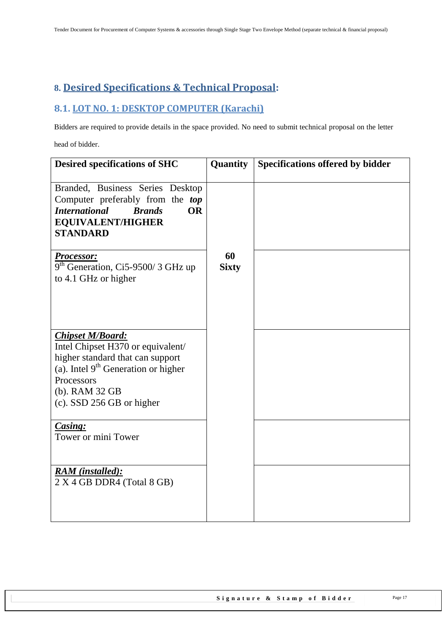# <span id="page-16-0"></span>**8. Desired Specifications & Technical Proposal:**

## <span id="page-16-1"></span>**8.1. LOT NO. 1: DESKTOP COMPUTER (Karachi)**

Bidders are required to provide details in the space provided. No need to submit technical proposal on the letter

head of bidder.

| <b>Desired specifications of SHC</b>                                                                                                                                                                   | Quantity           | <b>Specifications offered by bidder</b> |
|--------------------------------------------------------------------------------------------------------------------------------------------------------------------------------------------------------|--------------------|-----------------------------------------|
| Branded, Business Series Desktop<br>Computer preferably from the top<br><b>International</b><br><b>OR</b><br><b>Brands</b><br><b>EQUIVALENT/HIGHER</b><br><b>STANDARD</b>                              |                    |                                         |
| <b>Processor:</b><br>$9th$ Generation, Ci5-9500/3 GHz up<br>to 4.1 GHz or higher                                                                                                                       | 60<br><b>Sixty</b> |                                         |
| <b>Chipset M/Board:</b><br>Intel Chipset H370 or equivalent/<br>higher standard that can support<br>(a). Intel $9th$ Generation or higher<br>Processors<br>(b). RAM 32 GB<br>(c). SSD 256 GB or higher |                    |                                         |
| Casing:<br>Tower or mini Tower                                                                                                                                                                         |                    |                                         |
| <b>RAM</b> (installed):<br>2 X 4 GB DDR4 (Total 8 GB)                                                                                                                                                  |                    |                                         |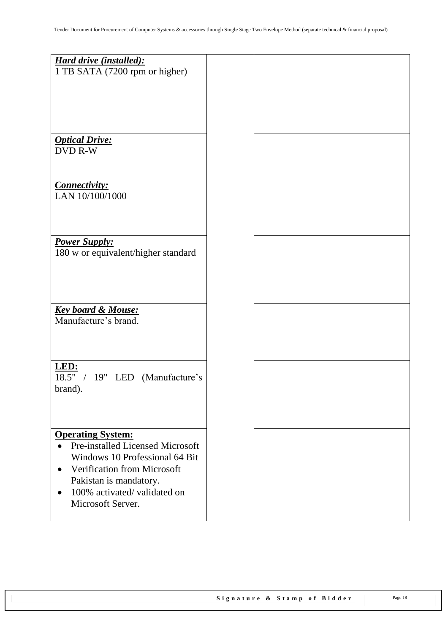| <b>Hard drive (installed):</b><br>1 TB SATA (7200 rpm or higher)                 |  |
|----------------------------------------------------------------------------------|--|
|                                                                                  |  |
| <b>Optical Drive:</b><br><b>DVD R-W</b>                                          |  |
| Connectivity:<br>LAN 10/100/1000                                                 |  |
| <b>Power Supply:</b>                                                             |  |
| 180 w or equivalent/higher standard                                              |  |
|                                                                                  |  |
| <b>Key board &amp; Mouse:</b><br>Manufacture's brand.                            |  |
|                                                                                  |  |
| LED:<br>$\overline{18.5}$ " / 19" LED (Manufacture's<br>brand).                  |  |
|                                                                                  |  |
| <b>Operating System:</b><br><b>Pre-installed Licensed Microsoft</b><br>$\bullet$ |  |
| Windows 10 Professional 64 Bit<br><b>Verification from Microsoft</b>             |  |
| Pakistan is mandatory.<br>100% activated/validated on<br>$\bullet$               |  |
| Microsoft Server.                                                                |  |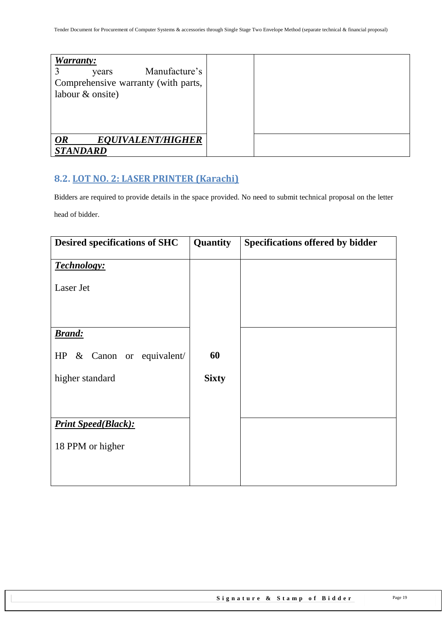| <b>Warranty:</b><br>Manufacture's<br>years<br>Comprehensive warranty (with parts,<br>labour & onsite) |  |
|-------------------------------------------------------------------------------------------------------|--|
| <b>EQUIVALENT/HIGHER</b><br><b>OR</b><br><b>STANDARD</b>                                              |  |

# <span id="page-18-0"></span>**8.2. LOT NO. 2: LASER PRINTER (Karachi)**

Bidders are required to provide details in the space provided. No need to submit technical proposal on the letter

head of bidder.

| <b>Desired specifications of SHC</b> | Quantity     | Specifications offered by bidder |
|--------------------------------------|--------------|----------------------------------|
| <b>Technology:</b>                   |              |                                  |
| Laser Jet                            |              |                                  |
|                                      |              |                                  |
| <b>Brand:</b>                        |              |                                  |
|                                      |              |                                  |
| & Canon or equivalent/<br>HP         | 60           |                                  |
| higher standard                      | <b>Sixty</b> |                                  |
|                                      |              |                                  |
|                                      |              |                                  |
| <b>Print Speed(Black):</b>           |              |                                  |
| 18 PPM or higher                     |              |                                  |
|                                      |              |                                  |
|                                      |              |                                  |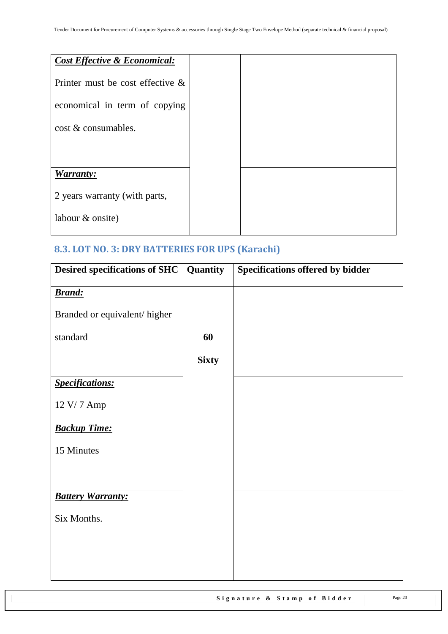| <b>Cost Effective &amp; Economical:</b> |  |  |
|-----------------------------------------|--|--|
| Printer must be cost effective $\&$     |  |  |
| economical in term of copying           |  |  |
| cost & consumables.                     |  |  |
|                                         |  |  |
|                                         |  |  |
| <b>Warranty:</b>                        |  |  |
| 2 years warranty (with parts,           |  |  |
| labour & onsite)                        |  |  |
|                                         |  |  |

# <span id="page-19-0"></span>**8.3. LOT NO. 3: DRY BATTERIES FOR UPS (Karachi)**

| <b>Desired specifications of SHC</b> Quantity |              | Specifications offered by bidder |
|-----------------------------------------------|--------------|----------------------------------|
| <b>Brand:</b>                                 |              |                                  |
| Branded or equivalent/higher                  |              |                                  |
| standard                                      | 60           |                                  |
|                                               | <b>Sixty</b> |                                  |
| <b>Specifications:</b>                        |              |                                  |
| 12 V/7 Amp                                    |              |                                  |
| <b>Backup Time:</b>                           |              |                                  |
| 15 Minutes                                    |              |                                  |
|                                               |              |                                  |
| <b>Battery Warranty:</b>                      |              |                                  |
| Six Months.                                   |              |                                  |
|                                               |              |                                  |
|                                               |              |                                  |
|                                               |              |                                  |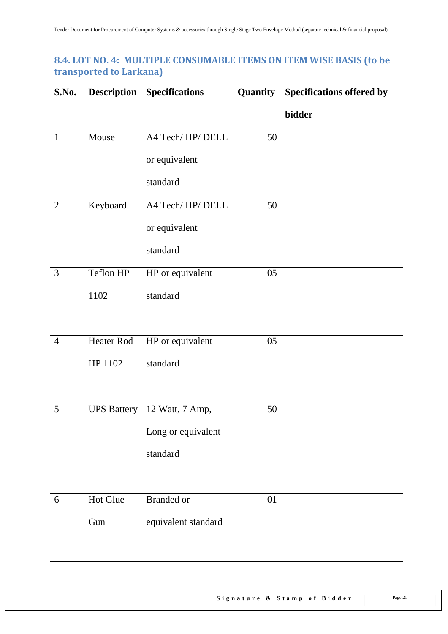## <span id="page-20-0"></span>**8.4. LOT NO. 4: MULTIPLE CONSUMABLE ITEMS ON ITEM WISE BASIS (to be transported to Larkana)**

| <b>Specifications offered by</b> |
|----------------------------------|
|                                  |
|                                  |
|                                  |
|                                  |
|                                  |
|                                  |
|                                  |
|                                  |
|                                  |
|                                  |
|                                  |
|                                  |
|                                  |
|                                  |
|                                  |
|                                  |
|                                  |
|                                  |
|                                  |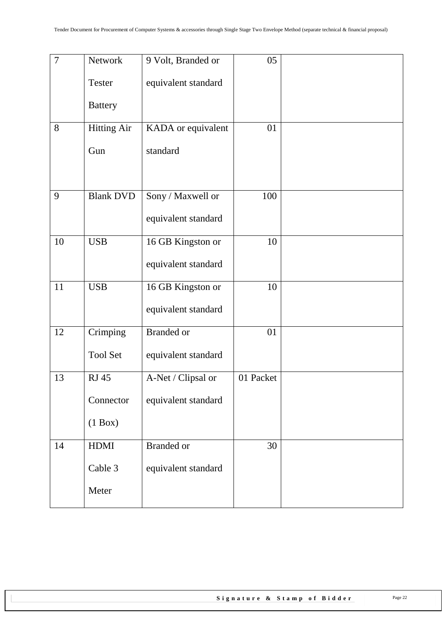| $\overline{7}$ | Network            | 9 Volt, Branded or  | 05        |  |
|----------------|--------------------|---------------------|-----------|--|
|                | <b>Tester</b>      | equivalent standard |           |  |
|                | <b>Battery</b>     |                     |           |  |
| 8              | <b>Hitting Air</b> | KADA or equivalent  | 01        |  |
|                | Gun                | standard            |           |  |
| 9              | <b>Blank DVD</b>   | Sony / Maxwell or   | 100       |  |
|                |                    | equivalent standard |           |  |
| 10             | <b>USB</b>         | 16 GB Kingston or   | 10        |  |
|                |                    | equivalent standard |           |  |
| 11             | <b>USB</b>         | 16 GB Kingston or   | 10        |  |
|                |                    | equivalent standard |           |  |
| 12             | Crimping           | <b>Branded</b> or   | 01        |  |
|                | <b>Tool Set</b>    | equivalent standard |           |  |
| 13             | <b>RJ 45</b>       | A-Net / Clipsal or  | 01 Packet |  |
|                | Connector          | equivalent standard |           |  |
|                | $(1$ Box)          |                     |           |  |
| 14             | <b>HDMI</b>        | <b>Branded</b> or   | 30        |  |
|                | Cable 3            | equivalent standard |           |  |
|                | Meter              |                     |           |  |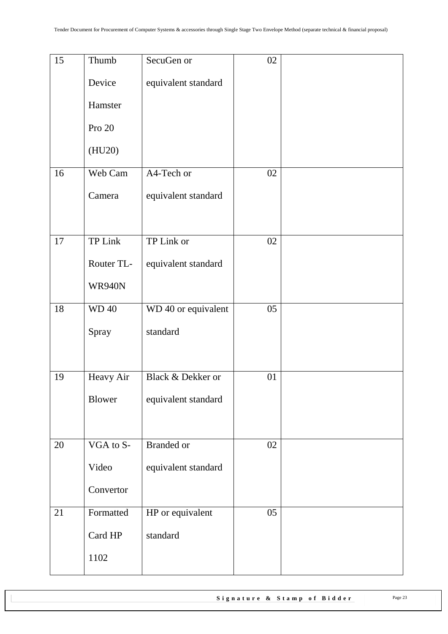| 15 | Thumb         | SecuGen or          | 02 |  |
|----|---------------|---------------------|----|--|
|    | Device        | equivalent standard |    |  |
|    | Hamster       |                     |    |  |
|    | Pro 20        |                     |    |  |
|    | (HU20)        |                     |    |  |
| 16 | Web Cam       | A4-Tech or          | 02 |  |
|    | Camera        | equivalent standard |    |  |
|    |               |                     |    |  |
| 17 | TP Link       | TP Link or          | 02 |  |
|    | Router TL-    | equivalent standard |    |  |
|    | <b>WR940N</b> |                     |    |  |
| 18 | <b>WD40</b>   | WD 40 or equivalent | 05 |  |
|    | Spray         | standard            |    |  |
|    |               |                     |    |  |
| 19 | Heavy Air     | Black & Dekker or   | 01 |  |
|    | Blower        | equivalent standard |    |  |
|    |               |                     |    |  |
| 20 | VGA to S-     | <b>Branded</b> or   | 02 |  |
|    | Video         | equivalent standard |    |  |
|    | Convertor     |                     |    |  |
| 21 | Formatted     | HP or equivalent    | 05 |  |
|    | Card HP       | standard            |    |  |
|    | 1102          |                     |    |  |
|    |               |                     |    |  |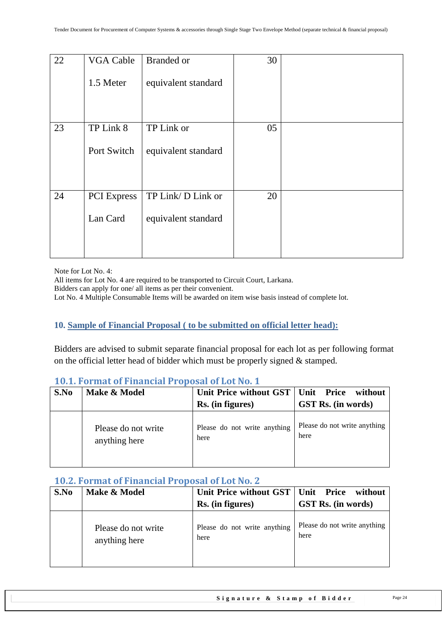| 22 | <b>VGA Cable</b>   | <b>Branded</b> or   | 30 |  |
|----|--------------------|---------------------|----|--|
|    | 1.5 Meter          | equivalent standard |    |  |
|    |                    |                     |    |  |
| 23 | TP Link 8          | TP Link or          | 05 |  |
|    | Port Switch        | equivalent standard |    |  |
|    |                    |                     |    |  |
| 24 | <b>PCI</b> Express | TP Link/D Link or   | 20 |  |
|    | Lan Card           | equivalent standard |    |  |
|    |                    |                     |    |  |
|    |                    |                     |    |  |

Note for Lot No. 4:

All items for Lot No. 4 are required to be transported to Circuit Court, Larkana.

Bidders can apply for one/ all items as per their convenient.

<span id="page-23-0"></span>Lot No. 4 Multiple Consumable Items will be awarded on item wise basis instead of complete lot.

#### **10. Sample of Financial Proposal ( to be submitted on official letter head):**

Bidders are advised to submit separate financial proposal for each lot as per following format on the official letter head of bidder which must be properly signed  $\&$  stamped.

#### <span id="page-23-1"></span>**10.1. Format of Financial Proposal of Lot No. 1**

| S.No | Make & Model                         | Unit Price without GST   Unit Price  | without                              |
|------|--------------------------------------|--------------------------------------|--------------------------------------|
|      |                                      | Rs. (in figures)                     | GST Rs. (in words)                   |
|      | Please do not write<br>anything here | Please do not write anything<br>here | Please do not write anything<br>here |

#### <span id="page-23-2"></span>**10.2. Format of Financial Proposal of Lot No. 2**

| S.No | Make & Model                         | Unit Price without GST   Unit Price  | without                              |
|------|--------------------------------------|--------------------------------------|--------------------------------------|
|      |                                      | Rs. (in figures)                     | <b>GST Rs.</b> (in words)            |
|      | Please do not write<br>anything here | Please do not write anything<br>here | Please do not write anything<br>here |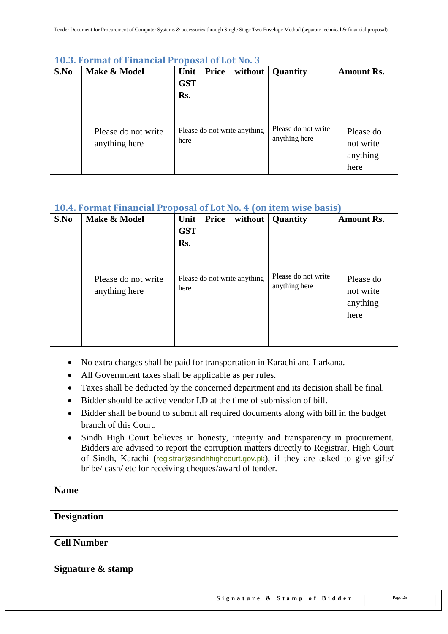| S.No | Make & Model                         | without<br><b>Price</b><br>Unit<br><b>GST</b><br>Rs. | <b>Quantity</b>                      | <b>Amount Rs.</b>                          |
|------|--------------------------------------|------------------------------------------------------|--------------------------------------|--------------------------------------------|
|      | Please do not write<br>anything here | Please do not write anything<br>here                 | Please do not write<br>anything here | Please do<br>not write<br>anything<br>here |

#### <span id="page-24-0"></span>**10.3. Format of Financial Proposal of Lot No. 3**

## <span id="page-24-1"></span>**10.4. Format Financial Proposal of Lot No. 4 (on item wise basis)**

| S.No | Make & Model                         | <b>Price</b><br>without<br>Unit<br><b>GST</b><br>Rs. | Quantity                             | <b>Amount Rs.</b>                          |
|------|--------------------------------------|------------------------------------------------------|--------------------------------------|--------------------------------------------|
|      | Please do not write<br>anything here | Please do not write anything<br>here                 | Please do not write<br>anything here | Please do<br>not write<br>anything<br>here |
|      |                                      |                                                      |                                      |                                            |
|      |                                      |                                                      |                                      |                                            |

- No extra charges shall be paid for transportation in Karachi and Larkana.
- All Government taxes shall be applicable as per rules.
- Taxes shall be deducted by the concerned department and its decision shall be final.
- Bidder should be active vendor I.D at the time of submission of bill.
- Bidder shall be bound to submit all required documents along with bill in the budget branch of this Court.
- Sindh High Court believes in honesty, integrity and transparency in procurement. Bidders are advised to report the corruption matters directly to Registrar, High Court of Sindh, Karachi ([registrar@sindhhighcourt.gov.pk](mailto:registrar@sindhhighcourt.gov.pk)), if they are asked to give gifts/ bribe/ cash/ etc for receiving cheques/award of tender.

| <b>Name</b>        |                             |         |
|--------------------|-----------------------------|---------|
|                    |                             |         |
| <b>Designation</b> |                             |         |
|                    |                             |         |
| <b>Cell Number</b> |                             |         |
|                    |                             |         |
| Signature & stamp  |                             |         |
|                    |                             |         |
|                    | Signature & Stamp of Bidder | Page 25 |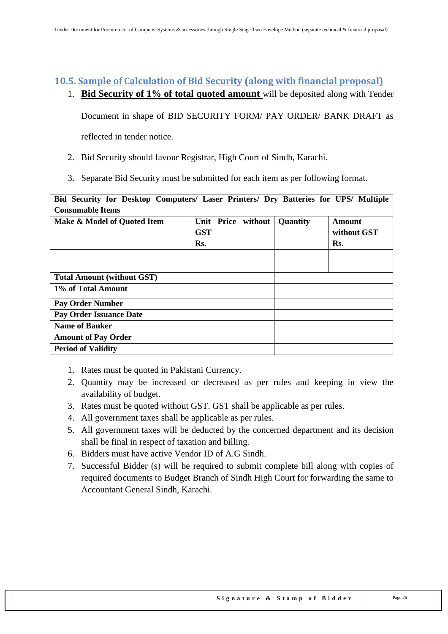#### <span id="page-25-0"></span>**10.5. Sample of Calculation of Bid Security (along with financial proposal)**

1. **Bid Security of 1% of total quoted amount** will be deposited along with Tender

Document in shape of BID SECURITY FORM/ PAY ORDER/ BANK DRAFT as

reflected in tender notice.

- 2. Bid Security should favour Registrar, High Court of Sindh, Karachi.
- 3. Separate Bid Security must be submitted for each item as per following format.

| Bid Security for Desktop Computers/ Laser Printers/ Dry Batteries for UPS/ Multiple |            |  |                    |                 |             |  |
|-------------------------------------------------------------------------------------|------------|--|--------------------|-----------------|-------------|--|
| <b>Consumable Items</b>                                                             |            |  |                    |                 |             |  |
| Make & Model of Quoted Item                                                         |            |  | Unit Price without | <b>Quantity</b> | Amount      |  |
|                                                                                     | <b>GST</b> |  |                    |                 | without GST |  |
|                                                                                     | Rs.        |  |                    |                 | Rs.         |  |
|                                                                                     |            |  |                    |                 |             |  |
|                                                                                     |            |  |                    |                 |             |  |
| <b>Total Amount (without GST)</b>                                                   |            |  |                    |                 |             |  |
| 1% of Total Amount                                                                  |            |  |                    |                 |             |  |
| <b>Pay Order Number</b>                                                             |            |  |                    |                 |             |  |
| <b>Pay Order Issuance Date</b>                                                      |            |  |                    |                 |             |  |
| <b>Name of Banker</b>                                                               |            |  |                    |                 |             |  |
| <b>Amount of Pay Order</b>                                                          |            |  |                    |                 |             |  |
| <b>Period of Validity</b>                                                           |            |  |                    |                 |             |  |

- 1. Rates must be quoted in Pakistani Currency.
- 2. Quantity may be increased or decreased as per rules and keeping in view the availability of budget.
- 3. Rates must be quoted without GST. GST shall be applicable as per rules.
- 4. All government taxes shall be applicable as per rules.
- 5. All government taxes will be deducted by the concerned department and its decision shall be final in respect of taxation and billing.
- 6. Bidders must have active Vendor ID of A.G Sindh.
- 7. Successful Bidder (s) will be required to submit complete bill along with copies of required documents to Budget Branch of Sindh High Court for forwarding the same to Accountant General Sindh, Karachi.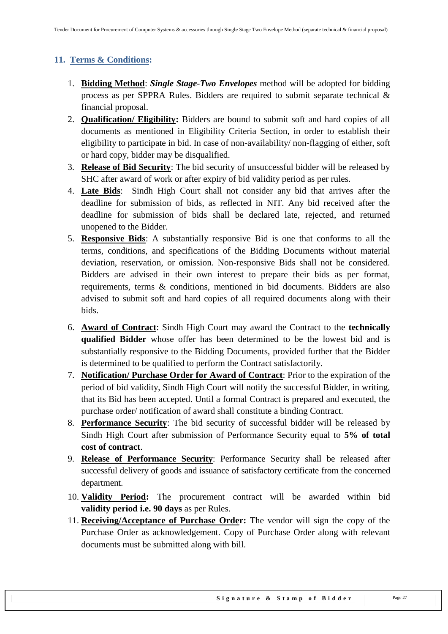## <span id="page-26-0"></span>**11. Terms & Conditions:**

- 1. **Bidding Method**: *Single Stage-Two Envelopes* method will be adopted for bidding process as per SPPRA Rules. Bidders are required to submit separate technical & financial proposal.
- 2. **Qualification/ Eligibility:** Bidders are bound to submit soft and hard copies of all documents as mentioned in Eligibility Criteria Section, in order to establish their eligibility to participate in bid. In case of non-availability/ non-flagging of either, soft or hard copy, bidder may be disqualified.
- 3. **Release of Bid Security**: The bid security of unsuccessful bidder will be released by SHC after award of work or after expiry of bid validity period as per rules.
- 4. **Late Bids**: Sindh High Court shall not consider any bid that arrives after the deadline for submission of bids, as reflected in NIT. Any bid received after the deadline for submission of bids shall be declared late, rejected, and returned unopened to the Bidder.
- 5. **Responsive Bids**: A substantially responsive Bid is one that conforms to all the terms, conditions, and specifications of the Bidding Documents without material deviation, reservation, or omission. Non-responsive Bids shall not be considered. Bidders are advised in their own interest to prepare their bids as per format, requirements, terms & conditions, mentioned in bid documents. Bidders are also advised to submit soft and hard copies of all required documents along with their bids.
- 6. **Award of Contract**: Sindh High Court may award the Contract to the **technically qualified Bidder** whose offer has been determined to be the lowest bid and is substantially responsive to the Bidding Documents, provided further that the Bidder is determined to be qualified to perform the Contract satisfactorily.
- 7. **Notification/ Purchase Order for Award of Contract**: Prior to the expiration of the period of bid validity, Sindh High Court will notify the successful Bidder, in writing, that its Bid has been accepted. Until a formal Contract is prepared and executed, the purchase order/ notification of award shall constitute a binding Contract.
- 8. **Performance Security**: The bid security of successful bidder will be released by Sindh High Court after submission of Performance Security equal to **5% of total cost of contract**.
- 9. **Release of Performance Security**: Performance Security shall be released after successful delivery of goods and issuance of satisfactory certificate from the concerned department.
- 10. **Validity Period:** The procurement contract will be awarded within bid **validity period i.e. 90 days** as per Rules.
- 11. **Receiving/Acceptance of Purchase Order:** The vendor will sign the copy of the Purchase Order as acknowledgement. Copy of Purchase Order along with relevant documents must be submitted along with bill.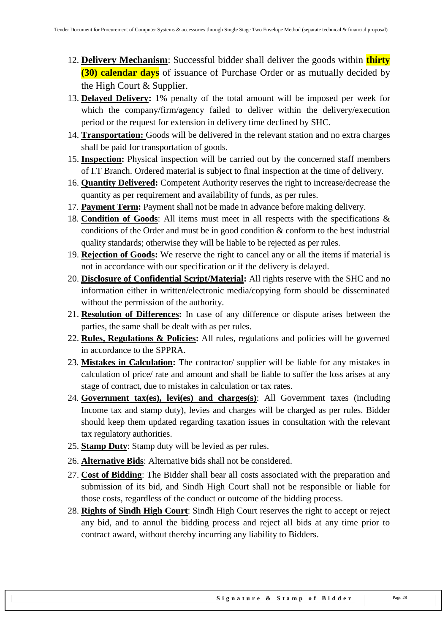- 12. **Delivery Mechanism**: Successful bidder shall deliver the goods within **thirty (30) calendar days** of issuance of Purchase Order or as mutually decided by the High Court & Supplier.
- 13. **Delayed Delivery:** 1% penalty of the total amount will be imposed per week for which the company/firm/agency failed to deliver within the delivery/execution period or the request for extension in delivery time declined by SHC.
- 14. **Transportation:** Goods will be delivered in the relevant station and no extra charges shall be paid for transportation of goods.
- 15. **Inspection:** Physical inspection will be carried out by the concerned staff members of I.T Branch. Ordered material is subject to final inspection at the time of delivery.
- 16. **Quantity Delivered:** Competent Authority reserves the right to increase/decrease the quantity as per requirement and availability of funds, as per rules.
- 17. **Payment Term:** Payment shall not be made in advance before making delivery.
- 18. **Condition of Goods**: All items must meet in all respects with the specifications & conditions of the Order and must be in good condition & conform to the best industrial quality standards; otherwise they will be liable to be rejected as per rules.
- 19. **Rejection of Goods:** We reserve the right to cancel any or all the items if material is not in accordance with our specification or if the delivery is delayed.
- 20. **Disclosure of Confidential Script/Material:** All rights reserve with the SHC and no information either in written/electronic media/copying form should be disseminated without the permission of the authority.
- 21. **Resolution of Differences:** In case of any difference or dispute arises between the parties, the same shall be dealt with as per rules.
- 22. **Rules, Regulations & Policies:** All rules, regulations and policies will be governed in accordance to the SPPRA.
- 23. **Mistakes in Calculation:** The contractor/ supplier will be liable for any mistakes in calculation of price/ rate and amount and shall be liable to suffer the loss arises at any stage of contract, due to mistakes in calculation or tax rates.
- 24. **Government tax(es), levi(es) and charges(s)**: All Government taxes (including Income tax and stamp duty), levies and charges will be charged as per rules. Bidder should keep them updated regarding taxation issues in consultation with the relevant tax regulatory authorities.
- 25. **Stamp Duty**: Stamp duty will be levied as per rules.
- 26. **Alternative Bids**: Alternative bids shall not be considered.
- 27. **Cost of Bidding**: The Bidder shall bear all costs associated with the preparation and submission of its bid, and Sindh High Court shall not be responsible or liable for those costs, regardless of the conduct or outcome of the bidding process.
- 28. **Rights of Sindh High Court**: Sindh High Court reserves the right to accept or reject any bid, and to annul the bidding process and reject all bids at any time prior to contract award, without thereby incurring any liability to Bidders.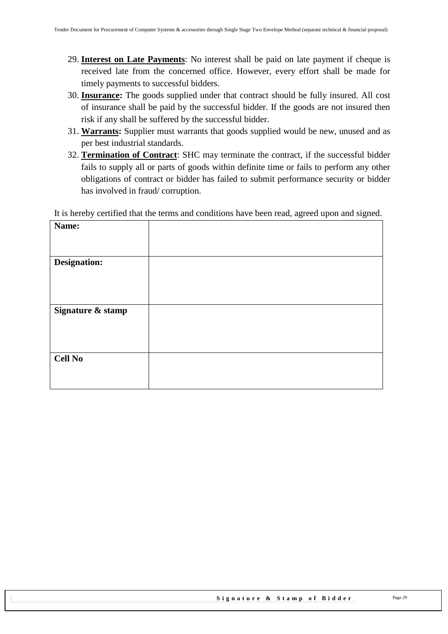- 29. **Interest on Late Payments**: No interest shall be paid on late payment if cheque is received late from the concerned office. However, every effort shall be made for timely payments to successful bidders.
- 30. **Insurance:** The goods supplied under that contract should be fully insured. All cost of insurance shall be paid by the successful bidder. If the goods are not insured then risk if any shall be suffered by the successful bidder.
- 31. **Warrants:** Supplier must warrants that goods supplied would be new, unused and as per best industrial standards.
- 32. **Termination of Contract**: SHC may terminate the contract, if the successful bidder fails to supply all or parts of goods within definite time or fails to perform any other obligations of contract or bidder has failed to submit performance security or bidder has involved in fraud/ corruption.

It is hereby certified that the terms and conditions have been read, agreed upon and signed.

| Name:               |  |
|---------------------|--|
|                     |  |
|                     |  |
| <b>Designation:</b> |  |
|                     |  |
|                     |  |
|                     |  |
| Signature & stamp   |  |
|                     |  |
|                     |  |
|                     |  |
|                     |  |
| <b>Cell No</b>      |  |
|                     |  |
|                     |  |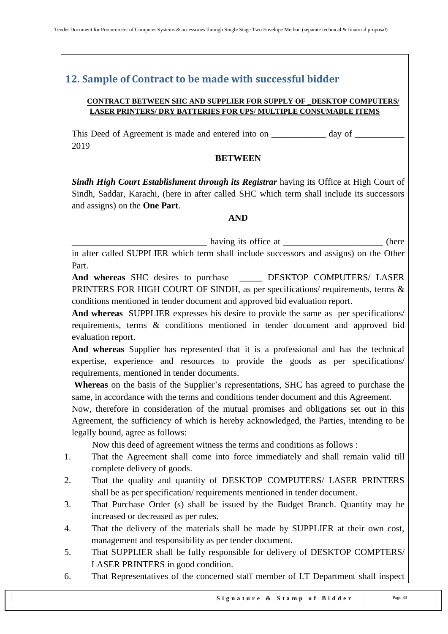## <span id="page-29-0"></span>**12. Sample of Contract to be made with successful bidder**

#### **CONTRACT BETWEEN SHC AND SUPPLIER FOR SUPPLY OF \_DESKTOP COMPUTERS/ LASER PRINTERS/ DRY BATTERIES FOR UPS/ MULTIPLE CONSUMABLE ITEMS**

This Deed of Agreement is made and entered into on \_\_\_\_\_\_\_\_\_\_\_\_ day of \_\_\_\_\_\_\_\_\_\_\_ 2019

#### **BETWEEN**

*Sindh High Court Establishment through its Registrar having its Office at High Court of* Sindh, Saddar, Karachi, (here in after called SHC which term shall include its successors and assigns) on the **One Part**.

#### **AND**

\_\_\_\_\_\_\_\_\_\_\_\_\_\_\_\_\_\_\_\_\_\_\_\_\_\_\_\_\_\_ having its office at \_\_\_\_\_\_\_\_\_\_\_\_\_\_\_\_\_\_\_\_\_\_ (here

in after called SUPPLIER which term shall include successors and assigns) on the Other Part.

And whereas SHC desires to purchase **DESKTOP COMPUTERS/ LASER** PRINTERS FOR HIGH COURT OF SINDH, as per specifications/ requirements, terms & conditions mentioned in tender document and approved bid evaluation report.

**And whereas** SUPPLIER expresses his desire to provide the same as per specifications/ requirements, terms & conditions mentioned in tender document and approved bid evaluation report.

**And whereas** Supplier has represented that it is a professional and has the technical expertise, experience and resources to provide the goods as per specifications/ requirements, mentioned in tender documents.

**Whereas** on the basis of the Supplier"s representations, SHC has agreed to purchase the same, in accordance with the terms and conditions tender document and this Agreement.

Now, therefore in consideration of the mutual promises and obligations set out in this Agreement, the sufficiency of which is hereby acknowledged, the Parties, intending to be legally bound, agree as follows:

Now this deed of agreement witness the terms and conditions as follows :

- 1. That the Agreement shall come into force immediately and shall remain valid till complete delivery of goods.
- 2. That the quality and quantity of DESKTOP COMPUTERS/ LASER PRINTERS shall be as per specification/ requirements mentioned in tender document.
- 3. That Purchase Order (s) shall be issued by the Budget Branch. Quantity may be increased or decreased as per rules.
- 4. That the delivery of the materials shall be made by SUPPLIER at their own cost, management and responsibility as per tender document.
- 5. That SUPPLIER shall be fully responsible for delivery of DESKTOP COMPTERS/ LASER PRINTERS in good condition.
- 6. That Representatives of the concerned staff member of I.T Department shall inspect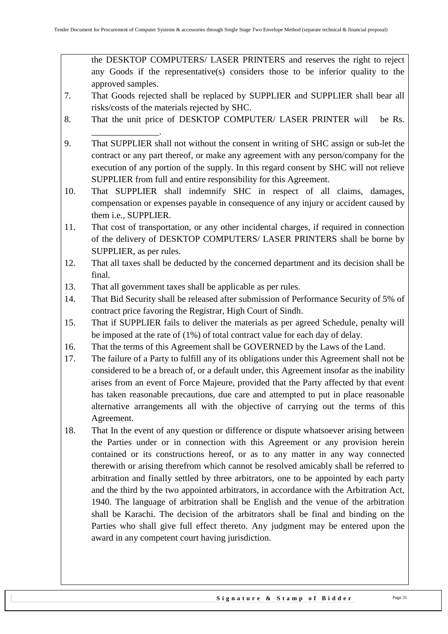the DESKTOP COMPUTERS/ LASER PRINTERS and reserves the right to reject any Goods if the representative(s) considers those to be inferior quality to the approved samples.

- 7. That Goods rejected shall be replaced by SUPPLIER and SUPPLIER shall bear all risks/costs of the materials rejected by SHC.
- 8. That the unit price of DESKTOP COMPUTER/ LASER PRINTER will be Rs.
- 9. That SUPPLIER shall not without the consent in writing of SHC assign or sub-let the contract or any part thereof, or make any agreement with any person/company for the execution of any portion of the supply. In this regard consent by SHC will not relieve SUPPLIER from full and entire responsibility for this Agreement.
- 10. That SUPPLIER shall indemnify SHC in respect of all claims, damages, compensation or expenses payable in consequence of any injury or accident caused by them i.e., SUPPLIER.
- 11. That cost of transportation, or any other incidental charges, if required in connection of the delivery of DESKTOP COMPUTERS/ LASER PRINTERS shall be borne by SUPPLIER, as per rules.
- 12. That all taxes shall be deducted by the concerned department and its decision shall be final.
- 13. That all government taxes shall be applicable as per rules.

\_\_\_\_\_\_\_\_\_\_\_\_\_\_\_.

- 14. That Bid Security shall be released after submission of Performance Security of 5% of contract price favoring the Registrar, High Court of Sindh.
- 15. That if SUPPLIER fails to deliver the materials as per agreed Schedule, penalty will be imposed at the rate of (1%) of total contract value for each day of delay.
- 16. That the terms of this Agreement shall be GOVERNED by the Laws of the Land.
- 17. The failure of a Party to fulfill any of its obligations under this Agreement shall not be considered to be a breach of, or a default under, this Agreement insofar as the inability arises from an event of Force Majeure, provided that the Party affected by that event has taken reasonable precautions, due care and attempted to put in place reasonable alternative arrangements all with the objective of carrying out the terms of this Agreement.
- 18. That In the event of any question or difference or dispute whatsoever arising between the Parties under or in connection with this Agreement or any provision herein contained or its constructions hereof, or as to any matter in any way connected therewith or arising therefrom which cannot be resolved amicably shall be referred to arbitration and finally settled by three arbitrators, one to be appointed by each party and the third by the two appointed arbitrators, in accordance with the Arbitration Act, 1940. The language of arbitration shall be English and the venue of the arbitration shall be Karachi. The decision of the arbitrators shall be final and binding on the Parties who shall give full effect thereto. Any judgment may be entered upon the award in any competent court having jurisdiction.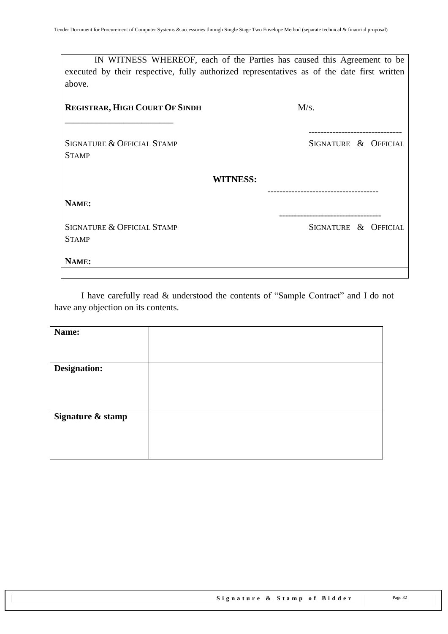| IN WITNESS WHEREOF, each of the Parties has caused this Agreement to be                     |                      |
|---------------------------------------------------------------------------------------------|----------------------|
| executed by their respective, fully authorized representatives as of the date first written |                      |
| above.                                                                                      |                      |
|                                                                                             |                      |
| <b>REGISTRAR, HIGH COURT OF SINDH</b>                                                       | M/s.                 |
|                                                                                             |                      |
|                                                                                             |                      |
| <b>SIGNATURE &amp; OFFICIAL STAMP</b>                                                       | SIGNATURE & OFFICIAL |
| <b>STAMP</b>                                                                                |                      |
|                                                                                             |                      |
| <b>WITNESS:</b>                                                                             |                      |
|                                                                                             |                      |
| NAME:                                                                                       |                      |
|                                                                                             |                      |
| <b>SIGNATURE &amp; OFFICIAL STAMP</b>                                                       | SIGNATURE & OFFICIAL |
| <b>STAMP</b>                                                                                |                      |
|                                                                                             |                      |
| NAME:                                                                                       |                      |
|                                                                                             |                      |

I have carefully read & understood the contents of "Sample Contract" and I do not have any objection on its contents.

| Name:             |  |
|-------------------|--|
|                   |  |
|                   |  |
| Designation:      |  |
|                   |  |
|                   |  |
|                   |  |
| Signature & stamp |  |
|                   |  |
|                   |  |
|                   |  |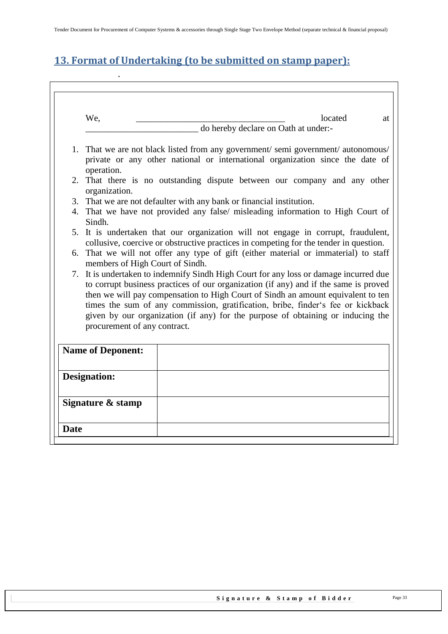# <span id="page-32-0"></span>**13. Format of Undertaking (to be submitted on stamp paper):**

.

| 3. That we are not defaulter with any bank or financial institution.<br>4. That we have not provided any false/ misleading information to High Court of<br>Sindh.                                                                                                                                                                                                                                                                                                       |  |  |
|-------------------------------------------------------------------------------------------------------------------------------------------------------------------------------------------------------------------------------------------------------------------------------------------------------------------------------------------------------------------------------------------------------------------------------------------------------------------------|--|--|
|                                                                                                                                                                                                                                                                                                                                                                                                                                                                         |  |  |
| 5. It is undertaken that our organization will not engage in corrupt, fraudulent,<br>collusive, coercive or obstructive practices in competing for the tender in question.                                                                                                                                                                                                                                                                                              |  |  |
| 6. That we will not offer any type of gift (either material or immaterial) to staff<br>members of High Court of Sindh.                                                                                                                                                                                                                                                                                                                                                  |  |  |
| 7. It is undertaken to indemnify Sindh High Court for any loss or damage incurred due<br>to corrupt business practices of our organization (if any) and if the same is proved<br>then we will pay compensation to High Court of Sindh an amount equivalent to ten<br>times the sum of any commission, gratification, bribe, finder's fee or kickback<br>given by our organization (if any) for the purpose of obtaining or inducing the<br>procurement of any contract. |  |  |
| <b>Name of Deponent:</b>                                                                                                                                                                                                                                                                                                                                                                                                                                                |  |  |